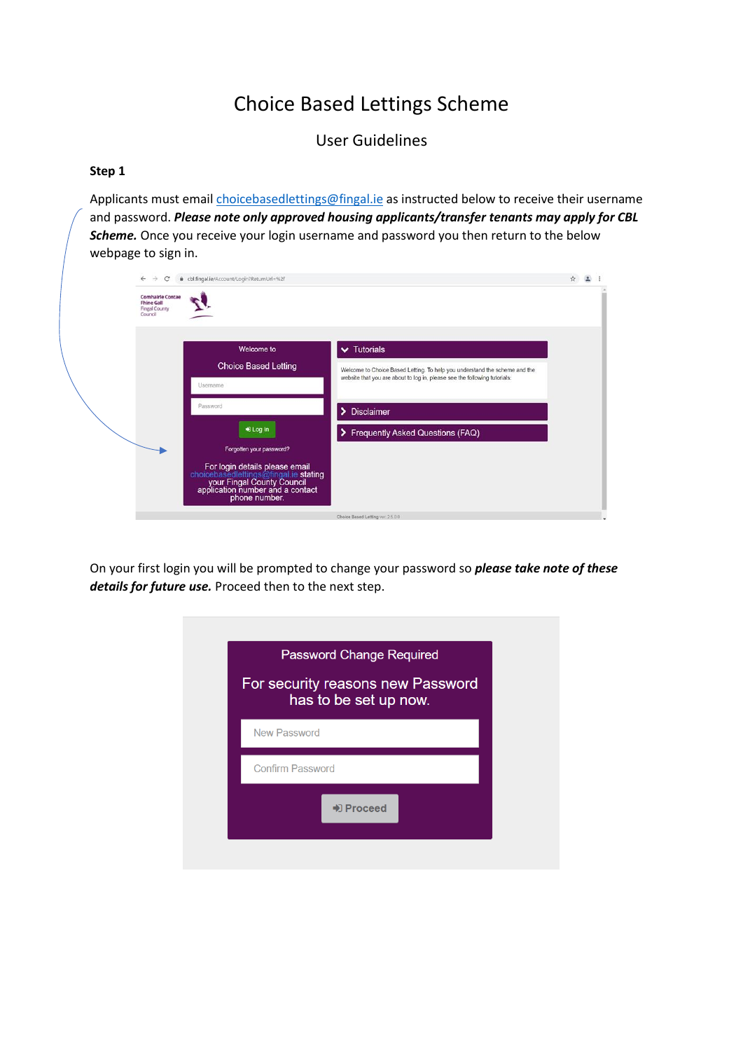# Choice Based Lettings Scheme

User Guidelines

### **Step 1**

Applicants must email [choicebasedlettings@fingal.ie](mailto:choicebasedlettings@fingal.ie) as instructed below to receive their username and password. *Please note only approved housing applicants/transfer tenants may apply for CBL Scheme.* Once you receive your login username and password you then return to the below webpage to sign in.

| $\leftarrow$ $\rightarrow$ C                                                    | + cbl.fingal.ie/Account/Login?ReturnUrl=%2f                                                                                                                                                                                                                             |                                                                                                                                                                                                                                                  | ☆ |  |
|---------------------------------------------------------------------------------|-------------------------------------------------------------------------------------------------------------------------------------------------------------------------------------------------------------------------------------------------------------------------|--------------------------------------------------------------------------------------------------------------------------------------------------------------------------------------------------------------------------------------------------|---|--|
| <b>Comhairle Contae</b><br><b>Fhine Gall</b><br><b>Fingal County</b><br>Council |                                                                                                                                                                                                                                                                         |                                                                                                                                                                                                                                                  |   |  |
|                                                                                 | Welcome to<br><b>Choice Based Letting</b><br>Usemame<br>Password<br>+0 Log In<br>Forgotten your password?<br>For login details please email<br>choicebasedlettings@fingal.ie stating<br>your Fingal County Council<br>application number and a contact<br>phone number. | $\blacktriangleright$ Tutorials<br>Welcome to Choice Based Letting. To help you understand the scheme and the<br>website that you are about to log in, please see the following tutorials:<br>> Disclaimer<br>> Frequently Asked Questions (FAQ) |   |  |
|                                                                                 |                                                                                                                                                                                                                                                                         | Choice Based Letting ver: 2.5.0.0                                                                                                                                                                                                                |   |  |

On your first login you will be prompted to change your password so *please take note of these details for future use.* Proceed then to the next step.

| <b>Password Change Required</b><br>For security reasons new Password<br>has to be set up now. |  |
|-----------------------------------------------------------------------------------------------|--|
| <b>New Password</b>                                                                           |  |
| <b>Confirm Password</b>                                                                       |  |
| → Proceed                                                                                     |  |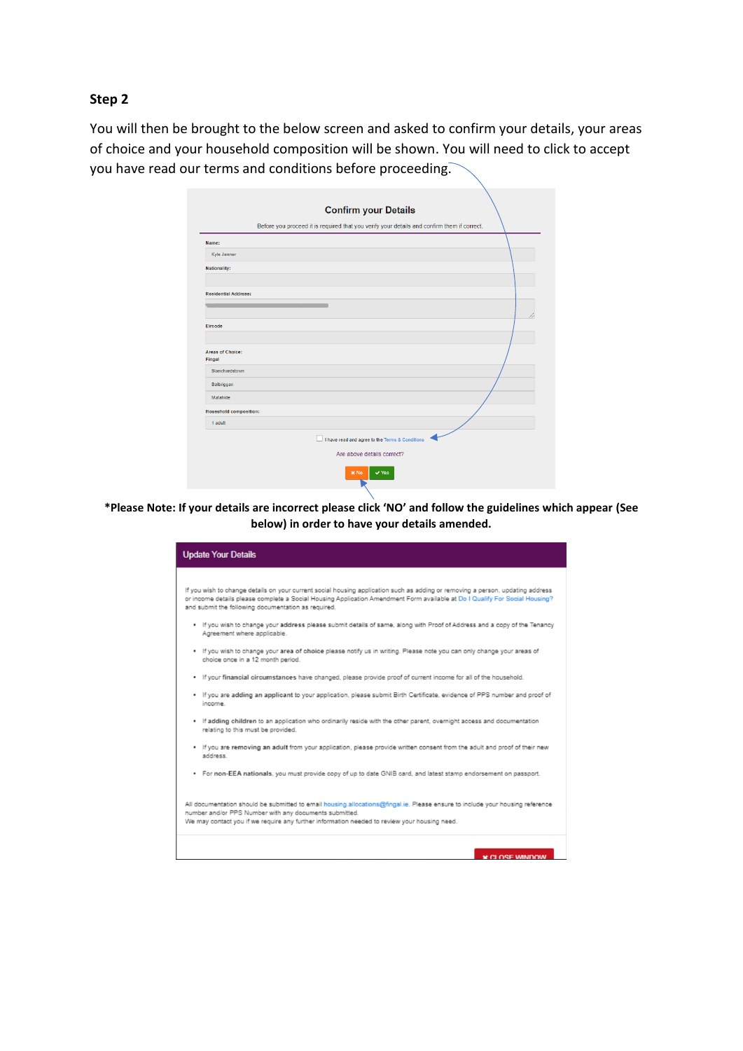#### **Step 2**

You will then be brought to the below screen and asked to confirm your details, your areas of choice and your household composition will be shown. You will need to click to accept you have read our terms and conditions before proceeding.

|                                   | <b>Confirm your Details</b>                                                                 |
|-----------------------------------|---------------------------------------------------------------------------------------------|
|                                   | Before you proceed it is required that you verify your details and confirm them if correct. |
| Name:                             |                                                                                             |
| Kyle Jenner                       |                                                                                             |
| <b>Nationality:</b>               |                                                                                             |
|                                   |                                                                                             |
| <b>Residential Address:</b>       |                                                                                             |
|                                   |                                                                                             |
| Eircode                           |                                                                                             |
|                                   |                                                                                             |
| <b>Areas of Choice:</b><br>Fingal |                                                                                             |
| Blanchardstown                    |                                                                                             |
| Balbriggan                        |                                                                                             |
| Malahide                          |                                                                                             |
| <b>Household composition:</b>     |                                                                                             |
| 1 adult                           |                                                                                             |
|                                   | I have read and agree to the Terms & Conditions                                             |
|                                   | Are above details correct?                                                                  |
|                                   | $\vee$ Yes<br>x No                                                                          |

**\*Please Note: If your details are incorrect please click 'NO' and follow the guidelines which appear (See below) in order to have your details amended.** 

| <b>Update Your Details</b>                                                                                                                                                                                                                                                                                           |
|----------------------------------------------------------------------------------------------------------------------------------------------------------------------------------------------------------------------------------------------------------------------------------------------------------------------|
|                                                                                                                                                                                                                                                                                                                      |
| If you wish to change details on your current social housing application such as adding or removing a person, updating address<br>or income details please complete a Social Housing Application Amendment Form available at Do I Qualify For Social Housing?<br>and submit the following documentation as required. |
| . If you wish to change your address please submit details of same, along with Proof of Address and a copy of the Tenancy<br>Agreement where applicable.                                                                                                                                                             |
| . If you wish to change your area of choice please notify us in writing. Please note you can only change your areas of<br>choice once in a 12 month period.                                                                                                                                                          |
| . If your financial circumstances have changed, please provide proof of current income for all of the household,                                                                                                                                                                                                     |
| . If you are adding an applicant to your application, please submit Birth Certificate, evidence of PPS number and proof of<br>income.                                                                                                                                                                                |
| . If adding children to an application who ordinarily reside with the other parent, overnight access and documentation<br>relating to this must be provided.                                                                                                                                                         |
| . If you are removing an adult from your application, please provide written consent from the adult and proof of their new<br>address.                                                                                                                                                                               |
| . For non-EEA nationals, you must provide copy of up to date GNIB card, and latest stamp endorsement on passport.                                                                                                                                                                                                    |
| All documentation should be submitted to email housing allocations@fingal.ie. Please ensure to include your housing reference<br>number and/or PPS Number with any documents submitted.                                                                                                                              |
| We may contact you if we require any further information needed to review your housing need.                                                                                                                                                                                                                         |
|                                                                                                                                                                                                                                                                                                                      |
| <b>M.CLOSE MINDOW</b>                                                                                                                                                                                                                                                                                                |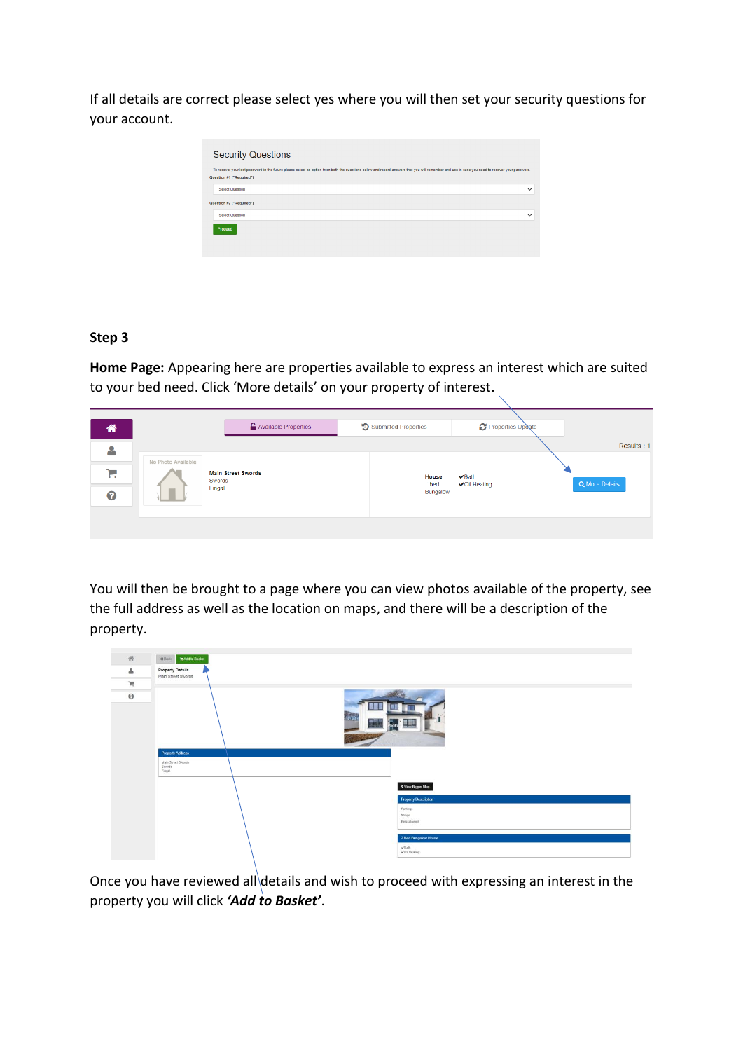If all details are correct please select yes where you will then set your security questions for your account.

| <b>Security Questions</b>                                                                                                                                                                      |              |
|------------------------------------------------------------------------------------------------------------------------------------------------------------------------------------------------|--------------|
| To recover your lost password in the future please select an option from both the questions below and record answers that you will remember and use in case you need to recover your password. |              |
| Question #1 ("Required")                                                                                                                                                                       |              |
| Select Question                                                                                                                                                                                | $\checkmark$ |
| Question #2 ("Required")                                                                                                                                                                       |              |
| <b>Select Question</b>                                                                                                                                                                         | $\checkmark$ |
| Proceed                                                                                                                                                                                        |              |

## **Step 3**

**Home Page:** Appearing here are properties available to express an interest which are suited to your bed need. Click 'More details' on your property of interest.

| ⋒  |                    | Available Properties                | <b>D</b> Submitted Properties | Properties Update                   |                       |
|----|--------------------|-------------------------------------|-------------------------------|-------------------------------------|-----------------------|
| A  | No Photo Available |                                     |                               |                                     | Results: 1            |
| ਸ਼ |                    | <b>Main Street Swords</b><br>Swords | House<br>bed                  | $\vee$ Bath<br><b>√</b> Oil Heating | <b>Q</b> More Details |
| ℯ  |                    | Fingal                              | Bungalow                      |                                     |                       |
|    |                    |                                     |                               |                                     |                       |

You will then be brought to a page where you can view photos available of the property, see the full address as well as the location on maps, and there will be a description of the property.



Once you have reviewed all details and wish to proceed with expressing an interest in the property you will click *'Add to Basket'*.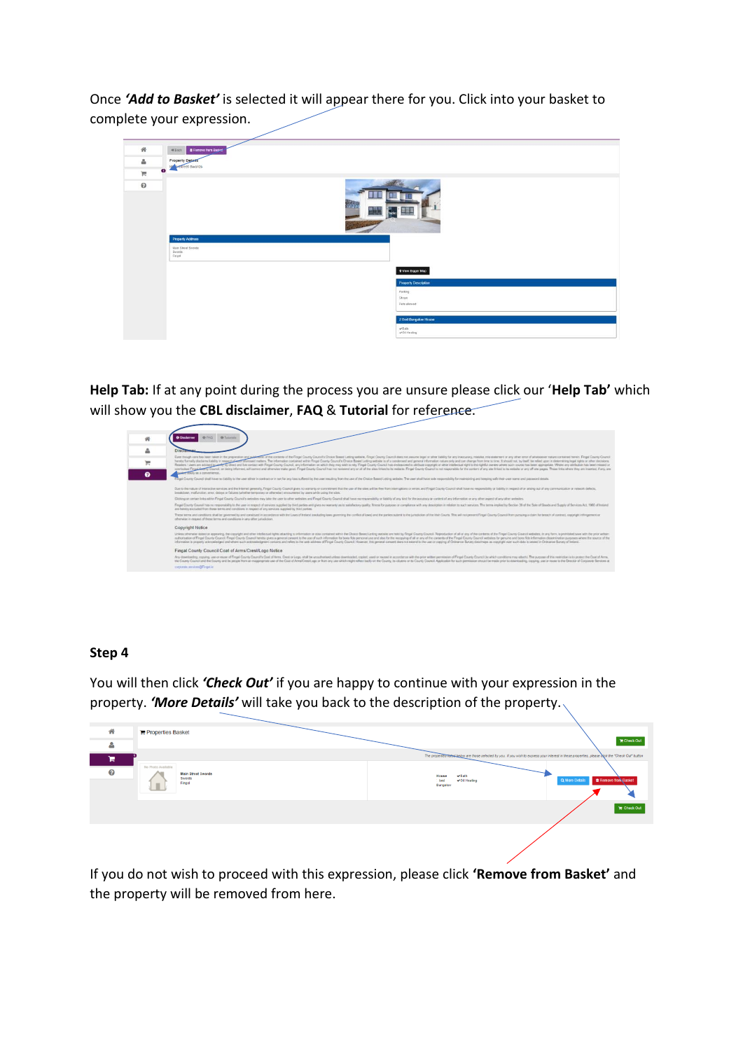Once *'Add to Basket'* is selected it will appear there for you. Click into your basket to complete your expression.

| 骨            | <b>B</b> Remove from Basket<br><b>MEack</b> |  |
|--------------|---------------------------------------------|--|
| $\Delta$     | <b>Property Details</b>                     |  |
| $\mathbb{H}$ | $\bullet$                                   |  |
| $\Theta$     | bw<br>墨城<br>noto<br><b>THE LEG STA</b>      |  |
|              | <b>Property Address</b>                     |  |
|              | Main Street Swords<br>Swords<br>Fingal      |  |
|              | 9 View Bigger Map                           |  |
|              | <b>Property Description</b>                 |  |
|              | Parting                                     |  |
|              | Shops<br>Pets allowed                       |  |
|              |                                             |  |
|              | 2 Bed Bungalow House                        |  |
|              | $v$ Bath<br>or Oil Heating                  |  |

**Help Tab:** If at any point during the process you are unsure please click our '**Help Tab'** which will show you the **CBL disclaimer**, **FAQ** & **Tutorial** for reference.



## **Step 4**

You will then click *'Check Out'* if you are happy to continue with your expression in the property. *'More Details'* will take you back to the description of the property.

| 聋 | Properties Basket                                                        |                                                                                                                                                     |                                               |
|---|--------------------------------------------------------------------------|-----------------------------------------------------------------------------------------------------------------------------------------------------|-----------------------------------------------|
| ∸ |                                                                          |                                                                                                                                                     | <b>T</b> Check Out                            |
| ж |                                                                          | The properties fisted below are those selected by you. If you wish to express your interest in these properties, please Dick the "Check Out" button |                                               |
| ❸ | No Photo Available<br><b>Main Street Swords</b><br>Swords<br>Fingal<br>п | √Bath<br>House<br><b>√Oil Heating</b><br>bed<br>Bungalow                                                                                            | <b>C</b> Remove from Basket<br>Q More Details |
|   |                                                                          |                                                                                                                                                     | $\mathbb{R}$ Check Out                        |
|   |                                                                          |                                                                                                                                                     |                                               |

If you do not wish to proceed with this expression, please click **'Remove from Basket'** and the property will be removed from here.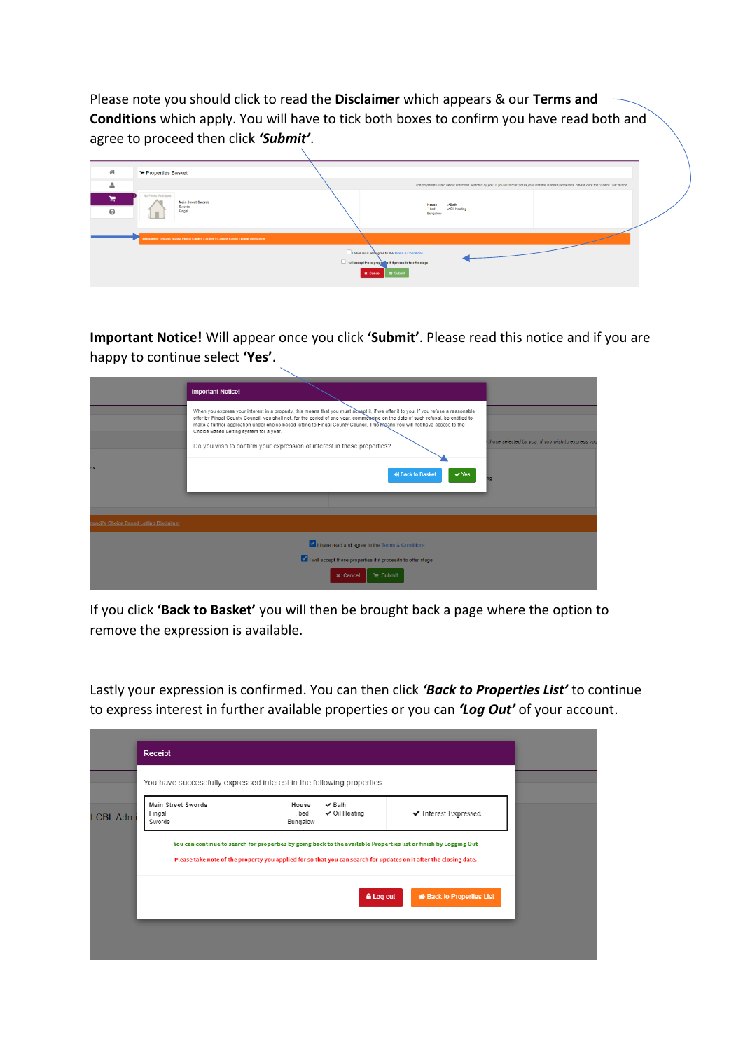Please note you should click to read the **Disclaimer** which appears & our **Terms and Conditions** which apply. You will have to tick both boxes to confirm you have read both and agree to proceed then click *'Submit'*.

| 骨      | Properties Basket                                                                 |                                                                                                                                                      |  |
|--------|-----------------------------------------------------------------------------------|------------------------------------------------------------------------------------------------------------------------------------------------------|--|
| ۴      |                                                                                   | The properties listed below are those selected by you. If you wish to express your interest in these properties, please click the "Check Out" button |  |
| н<br>ଵ | No Photo Available<br><b>Main Street Swords</b><br>Swords<br>Fingal               | √Bath<br>House<br>√Oil Heating<br>bed<br>Bungalow                                                                                                    |  |
|        | Disclaimer: Please review Fingal County Council's Choice Based Lefting Disclaimer |                                                                                                                                                      |  |
|        |                                                                                   | I have read and agree to the Terms & Conditions<br>I will accept these properties if it proceeds to offer stage<br><b>x</b> Cancel <b>R</b> Submit   |  |

**Important Notice!** Will appear once you click **'Submit'**. Please read this notice and if you are happy to continue select **'Yes'**.

|                                          | <b>Important Notice!</b>                                                                                                                                                                                                                                                                                                                                                                                                                                                                                                     |                                                    |
|------------------------------------------|------------------------------------------------------------------------------------------------------------------------------------------------------------------------------------------------------------------------------------------------------------------------------------------------------------------------------------------------------------------------------------------------------------------------------------------------------------------------------------------------------------------------------|----------------------------------------------------|
|                                          | When you express your interest in a property, this means that you must acsept it, if we offer it to you. If you refuse a reasonable<br>offer by Fingal County Council, you shall not, for the period of one year, commencing on the date of such refusal, be entitled to<br>make a further application under choice based letting to Fingal County Council. This means you will not have access to the<br>Choice Based Letting system for a year.<br>Do you wish to confirm your expression of interest in these properties? | those selected by you. If you wish to express you. |
| ds                                       | <b>K</b> Back to Basket<br>$\vee$ Yes                                                                                                                                                                                                                                                                                                                                                                                                                                                                                        | nq                                                 |
| ouncil's Choice Based Letting Disclaimer |                                                                                                                                                                                                                                                                                                                                                                                                                                                                                                                              |                                                    |
|                                          | I have read and agree to the Terms & Conditions                                                                                                                                                                                                                                                                                                                                                                                                                                                                              |                                                    |
|                                          | I will accept these properties if it proceeds to offer stage                                                                                                                                                                                                                                                                                                                                                                                                                                                                 |                                                    |
|                                          | <b>x</b> Cancel<br>$\mathbb{R}$ Submit                                                                                                                                                                                                                                                                                                                                                                                                                                                                                       |                                                    |

If you click **'Back to Basket'** you will then be brought back a page where the option to remove the expression is available.

Lastly your expression is confirmed. You can then click *'Back to Properties List'* to continue to express interest in further available properties or you can *'Log Out'* of your account.

|            | Receipt                                |                                                                                                                                                                                                                                        |                                          |  |
|------------|----------------------------------------|----------------------------------------------------------------------------------------------------------------------------------------------------------------------------------------------------------------------------------------|------------------------------------------|--|
| t CBL Admi | Main Street Swords<br>Fingal<br>Swords | You have successfully expressed interest in the following properties<br>$\checkmark$ Bath<br>House<br>$\checkmark$ Oil Heating<br>bed<br>Bungalow                                                                                      | $\blacktriangleright$ Interest Expressed |  |
|            |                                        | You can continue to search for properties by going back to the available Properties list or finish by Logging Out<br>Please take note of the property you applied for so that you can search for updates on it after the closing date. |                                          |  |
|            |                                        | A Log out                                                                                                                                                                                                                              | <b>*</b> Back to Properties List         |  |